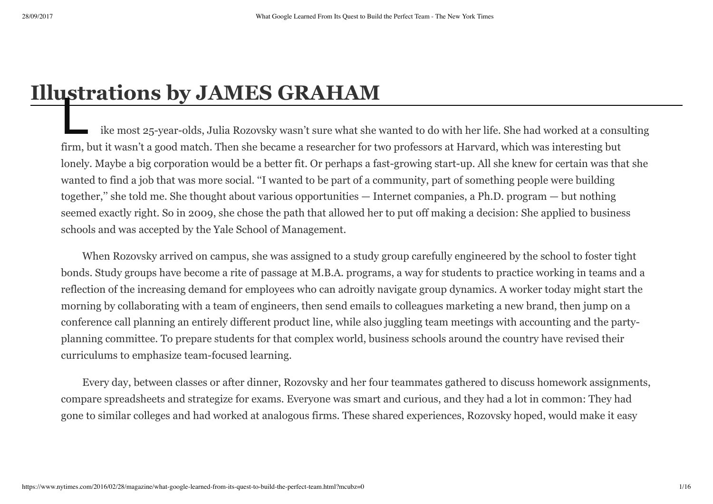## **Illustrations by JAMES GRAHAM**<br>
L ike most 25-year-olds, Julia Rozovsky wasn't sure what she wanted to do with her life. She had worked at a consulting

firm, but it wasn't a good match. Then she became a researcher for two professors at Harvard, which was interesting but lonely. Maybe a big corporation would be a better fit. Or perhaps a fast-growing start-up. All she knew for certain was that she wanted to find a job that was more social. ''I wanted to be part of a community, part of something people were building together,'' she told me. She thought about various opportunities — Internet companies, a Ph.D. program — but nothing seemed exactly right. So in 2009, she chose the path that allowed her to put off making a decision: She applied to business schools and was accepted by the Yale School of Management.

When Rozovsky arrived on campus, she was assigned to a study group carefully engineered by the school to foster tight bonds. Study groups have become a rite of passage at M.B.A. programs, a way for students to practice working in teams and a reflection of the increasing demand for employees who can adroitly navigate group dynamics. A worker today might start the morning by collaborating with a team of engineers, then send emails to colleagues marketing a new brand, then jump on a conference call planning an entirely different product line, while also juggling team meetings with accounting and the partyplanning committee. To prepare students for that complex world, business schools around the country have revised their curriculums to emphasize team-focused learning.

Every day, between classes or after dinner, Rozovsky and her four teammates gathered to discuss homework assignments, compare spreadsheets and strategize for exams. Everyone was smart and curious, and they had a lot in common: They had gone to similar colleges and had worked at analogous firms. These shared experiences, Rozovsky hoped, would make it easy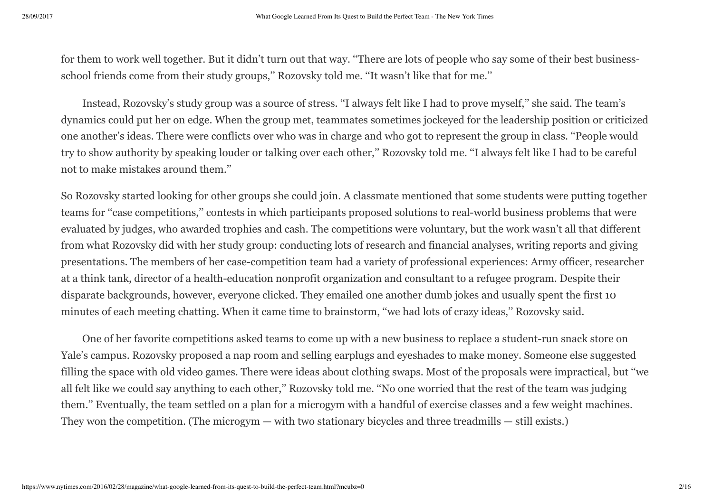for them to work well together. But it didn't turn out that way. ''There are lots of people who say some of their best businessschool friends come from their study groups,'' Rozovsky told me. ''It wasn't like that for me.''

Instead, Rozovsky's study group was a source of stress. ''I always felt like I had to prove myself,'' she said. The team's dynamics could put her on edge. When the group met, teammates sometimes jockeyed for the leadership position or criticized one another's ideas. There were conflicts over who was in charge and who got to represent the group in class. ''People would try to show authority by speaking louder or talking over each other,'' Rozovsky told me. ''I always felt like I had to be careful not to make mistakes around them.''

So Rozovsky started looking for other groups she could join. A classmate mentioned that some students were putting together teams for ''case competitions,'' contests in which participants proposed solutions to real-world business problems that were evaluated by judges, who awarded trophies and cash. The competitions were voluntary, but the work wasn't all that different from what Rozovsky did with her study group: conducting lots of research and financial analyses, writing reports and giving presentations. The members of her case-competition team had a variety of professional experiences: Army officer, researcher at a think tank, director of a health-education nonprofit organization and consultant to a refugee program. Despite their disparate backgrounds, however, everyone clicked. They emailed one another dumb jokes and usually spent the first 10 minutes of each meeting chatting. When it came time to brainstorm, "we had lots of crazy ideas," Rozovsky said.

One of her favorite competitions asked teams to come up with a new business to replace a student-run snack store on Yale's campus. Rozovsky proposed a nap room and selling earplugs and eyeshades to make money. Someone else suggested filling the space with old video games. There were ideas about clothing swaps. Most of the proposals were impractical, but ''we all felt like we could say anything to each other,'' Rozovsky told me. ''No one worried that the rest of the team was judging them.'' Eventually, the team settled on a plan for a microgym with a handful of exercise classes and a few weight machines. They won the competition. (The microgym — with two stationary bicycles and three treadmills — still exists.)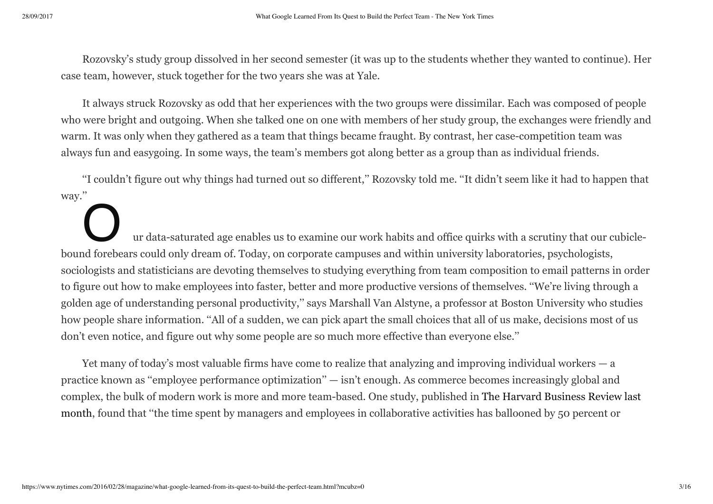Rozovsky's study group dissolved in her second semester (it was up to the students whether they wanted to continue). Her case team, however, stuck together for the two years she was at Yale.

It always struck Rozovsky as odd that her experiences with the two groups were dissimilar. Each was composed of people who were bright and outgoing. When she talked one on one with members of her study group, the exchanges were friendly and warm. It was only when they gathered as a team that things became fraught. By contrast, her case-competition team was always fun and easygoing. In some ways, the team's members got along better as a group than as individual friends.

''I couldn't figure out why things had turned out so different,'' Rozovsky told me. ''It didn't seem like it had to happen that way.''

ur data-saturated age enables us to examine our work habits and office quirks with a scrutiny that our cubiclebound forebears could only dream of. Today, on corporate campuses and within university laboratories, psychologists, sociologists and statisticians are devoting themselves to studying everything from team composition to email patterns in order to figure out how to make employees into faster, better and more productive versions of themselves. ''We're living through a golden age of understanding personal productivity,'' says Marshall Van Alstyne, a professor at Boston University who studies how people share information. ''All of a sudden, we can pick apart the small choices that all of us make, decisions most of us don't even notice, and figure out why some people are so much more effective than everyone else.''

Yet many of today's most valuable firms have come to realize that analyzing and improving individual workers — a practice known as ''employee performance optimization'' — isn't enough. As commerce becomes increasingly global and complex, the bulk of modern work is more and more team-based. One study, published in The Harvard Business Review last month, found that ''the time spent by managers and employees in [collaborative](https://hbr.org/2016/01/collaborative-overload) activities has ballooned by 50 percent or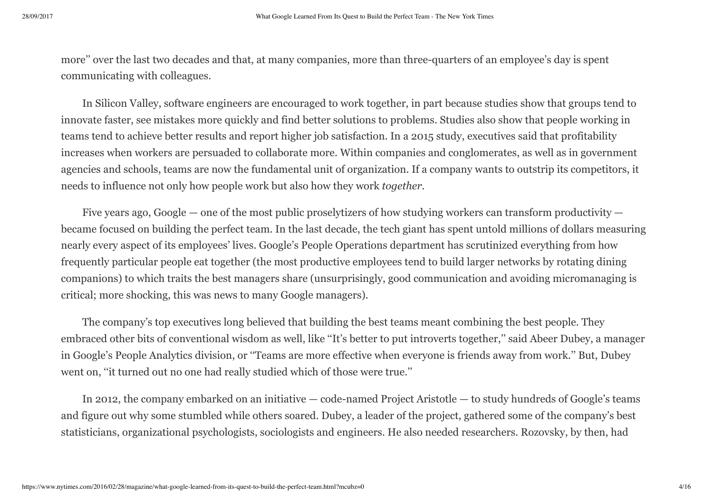more'' over the last two decades and that, at many companies, more than three-quarters of an employee's day is spent communicating with colleagues.

In Silicon Valley, software engineers are encouraged to work together, in part because studies show that groups tend to innovate faster, see mistakes more quickly and find better solutions to problems. Studies also show that people working in teams tend to achieve better results and report higher job satisfaction. In a 2015 study, executives said that profitability increases when workers are persuaded to collaborate more. Within companies and conglomerates, as well as in government agencies and schools, teams are now the fundamental unit of organization. If a company wants to outstrip its competitors, it needs to influence not only how people work but also how they work *together*.

Five years ago, Google — one of the most public proselytizers of how studying workers can transform productivity became focused on building the perfect team. In the last decade, the tech giant has spent untold millions of dollars measuring nearly every aspect of its employees' lives. Google's People Operations department has scrutinized everything from how frequently particular people eat together (the most productive employees tend to build larger networks by rotating dining companions) to which traits the best managers share (unsurprisingly, good communication and avoiding micromanaging is critical; more shocking, this was news to many Google managers).

The company's top executives long believed that building the best teams meant combining the best people. They embraced other bits of conventional wisdom as well, like ''It's better to put introverts together,'' said Abeer Dubey, a manager in Google's People Analytics division, or ''Teams are more effective when everyone is friends away from work.'' But, Dubey went on, ''it turned out no one had really studied which of those were true.''

In 2012, the company embarked on an initiative — code-named Project Aristotle — to study hundreds of Google's teams and figure out why some stumbled while others soared. Dubey, a leader of the project, gathered some of the company's best statisticians, organizational psychologists, sociologists and engineers. He also needed researchers. Rozovsky, by then, had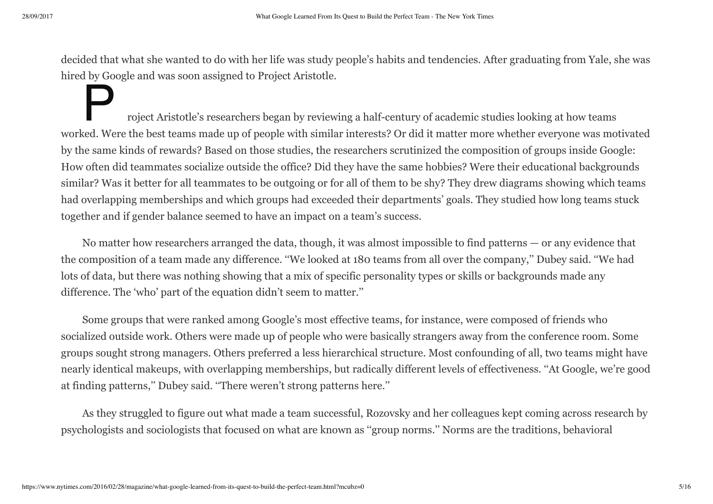decided that what she wanted to do with her life was study people's habits and tendencies. After graduating from Yale, she was hired by Google and was soon assigned to Project Aristotle.

roject Aristotle's researchers began by reviewing a half-century of academic studies looking at how teams worked. Were the best teams made up of people with similar interests? Or did it matter more whether everyone was motivated by the same kinds of rewards? Based on those studies, the researchers scrutinized the composition of groups inside Google: How often did teammates socialize outside the office? Did they have the same hobbies? Were their educational backgrounds similar? Was it better for all teammates to be outgoing or for all of them to be shy? They drew diagrams showing which teams had overlapping memberships and which groups had exceeded their departments' goals. They studied how long teams stuck together and if gender balance seemed to have an impact on a team's success.

No matter how researchers arranged the data, though, it was almost impossible to find patterns — or any evidence that the composition of a team made any difference. ''We looked at 180 teams from all over the company,'' Dubey said. ''We had lots of data, but there was nothing showing that a mix of specific personality types or skills or backgrounds made any difference. The 'who' part of the equation didn't seem to matter.''

Some groups that were ranked among Google's most effective teams, for instance, were composed of friends who socialized outside work. Others were made up of people who were basically strangers away from the conference room. Some groups sought strong managers. Others preferred a less hierarchical structure. Most confounding of all, two teams might have nearly identical makeups, with overlapping memberships, but radically different levels of effectiveness. ''At Google, we're good at finding patterns,'' Dubey said. ''There weren't strong patterns here.''

As they struggled to figure out what made a team successful, Rozovsky and her colleagues kept coming across research by psychologists and sociologists that focused on what are known as ''group norms.'' Norms are the traditions, behavioral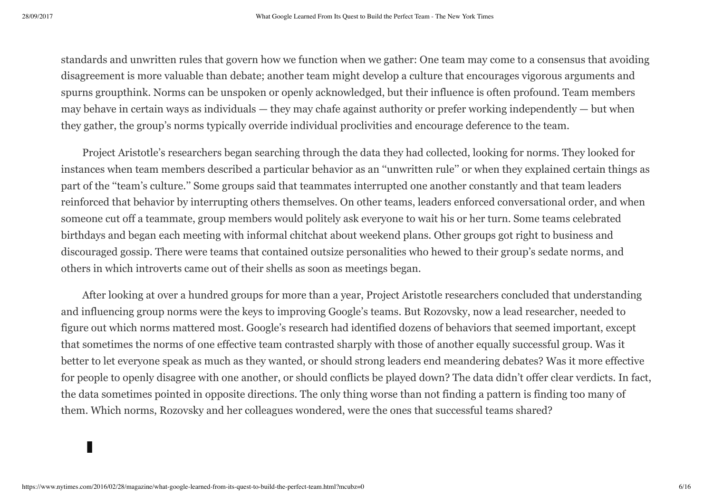standards and unwritten rules that govern how we function when we gather: One team may come to a consensus that avoiding disagreement is more valuable than debate; another team might develop a culture that encourages vigorous arguments and spurns groupthink. Norms can be unspoken or openly acknowledged, but their influence is often profound. Team members may behave in certain ways as individuals — they may chafe against authority or prefer working independently — but when they gather, the group's norms typically override individual proclivities and encourage deference to the team.

Project Aristotle's researchers began searching through the data they had collected, looking for norms. They looked for instances when team members described a particular behavior as an ''unwritten rule'' or when they explained certain things as part of the ''team's culture.'' Some groups said that teammates interrupted one another constantly and that team leaders reinforced that behavior by interrupting others themselves. On other teams, leaders enforced conversational order, and when someone cut off a teammate, group members would politely ask everyone to wait his or her turn. Some teams celebrated birthdays and began each meeting with informal chitchat about weekend plans. Other groups got right to business and discouraged gossip. There were teams that contained outsize personalities who hewed to their group's sedate norms, and others in which introverts came out of their shells as soon as meetings began.

After looking at over a hundred groups for more than a year, Project Aristotle researchers concluded that understanding and influencing group norms were the keys to improving Google's teams. But Rozovsky, now a lead researcher, needed to figure out which norms mattered most. Google's research had identified dozens of behaviors that seemed important, except that sometimes the norms of one effective team contrasted sharply with those of another equally successful group. Was it better to let everyone speak as much as they wanted, or should strong leaders end meandering debates? Was it more effective for people to openly disagree with one another, or should conflicts be played down? The data didn't offer clear verdicts. In fact, the data sometimes pointed in opposite directions. The only thing worse than not finding a pattern is finding too many of them. Which norms, Rozovsky and her colleagues wondered, were the ones that successful teams shared?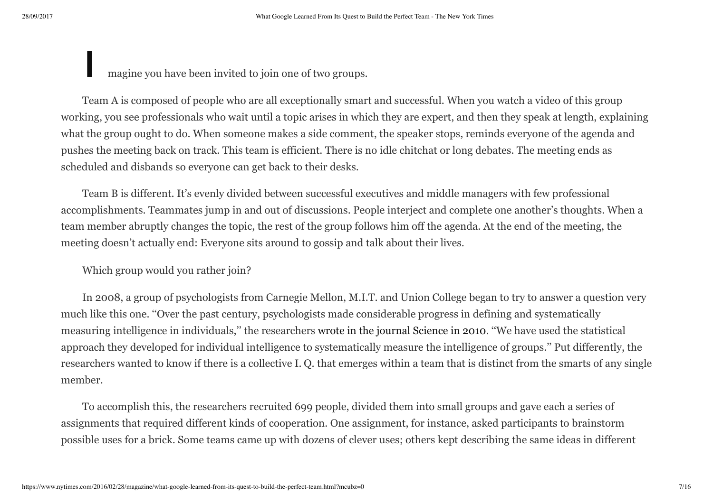magine you have been invited to join one of two groups.

Team A is composed of people who are all exceptionally smart and successful. When you watch a video of this group working, you see professionals who wait until a topic arises in which they are expert, and then they speak at length, explaining what the group ought to do. When someone makes a side comment, the speaker stops, reminds everyone of the agenda and pushes the meeting back on track. This team is efficient. There is no idle chitchat or long debates. The meeting ends as scheduled and disbands so everyone can get back to their desks.

Team B is different. It's evenly divided between successful executives and middle managers with few professional accomplishments. Teammates jump in and out of discussions. People interject and complete one another's thoughts. When a team member abruptly changes the topic, the rest of the group follows him off the agenda. At the end of the meeting, the meeting doesn't actually end: Everyone sits around to gossip and talk about their lives.

Which group would you rather join?

In 2008, a group of psychologists from Carnegie Mellon, M.I.T. and Union College began to try to answer a question very much like this one. "Over the past century, psychologists made considerable progress in defining and systematically measuring intelligence in individuals,'' the researchers wrote in the journal [Science](http://www.cs.cmu.edu/~ab/Salon/research/Woolley_et_al_Science_2010-2.pdf) in 2010. ''We have used the statistical approach they developed for individual intelligence to systematically measure the intelligence of groups.'' Put differently, the researchers wanted to know if there is a collective I. Q. that emerges within a team that is distinct from the smarts of any single member.

To accomplish this, the researchers recruited 699 people, divided them into small groups and gave each a series of assignments that required different kinds of cooperation. One assignment, for instance, asked participants to brainstorm possible uses for a brick. Some teams came up with dozens of clever uses; others kept describing the same ideas in different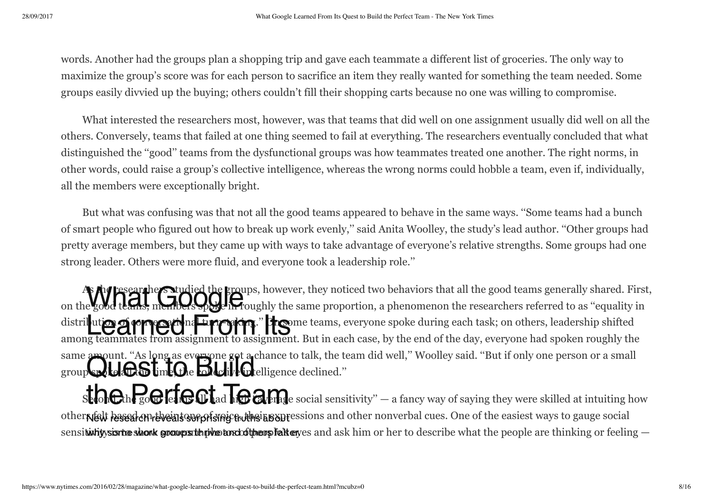words. Another had the groups plan a shopping trip and gave each teammate a different list of groceries. The only way to maximize the group's score was for each person to sacrifice an item they really wanted for something the team needed. Some groups easily divvied up the buying; others couldn't fill their shopping carts because no one was willing to compromise.

What interested the researchers most, however, was that teams that did well on one assignment usually did well on all the others. Conversely, teams that failed at one thing seemed to fail at everything. The researchers eventually concluded that what distinguished the ''good'' teams from the dysfunctional groups was how teammates treated one another. The right norms, in other words, could raise a group's collective intelligence, whereas the wrong norms could hobble a team, even if, individually, all the members were exceptionally bright.

But what was confusing was that not all the good teams appeared to behave in the same ways. ''Some teams had a bunch of smart people who figured out how to break up work evenly,'' said Anita Woolley, the study's lead author. ''Other groups had pretty average members, but they came up with ways to take advantage of everyone's relative strengths. Some groups had one strong leader. Others were more fluid, and everyone took a leadership role.''

As the researchers studied the groups, however, they noticed two behaviors that all the good teams generally shared. First, A researche studied the groups, however, they noticed two behaviors that all the good teams generally shared. First<br>on the good teams, members spoke in roughly the same proportion, a phenomenon the researchers referred to distribution of representing turn-taking." Prome teams, everyone spoke during each task; on others, leadership shifted<br>among teammates from assignment to assignment. But in each case, by the end of the day, everyone had sp among teammates from assignment to assignment. But in each case, by the end of the day, everyone had spoken roughly the same amount. "As long as everyone got a chance to talk, the team did well," Woolley said. "But if only one person or a small group spound. As long as everyone got a chance to talk, the to<br>group spoke all the time to build to delined."

 $st$  of  $f_{\rm so}$  of  $f_{\rm co}$  the  $f_{\rm ad}$   $f_{\rm co}$  and  $f_{\rm eq}$  is ocial sensitivity" — a fancy way of saying they were skilled at intuiting how other**New resear on their tone of store their syppe**ssions and other nonverbal cues. One of the easiest ways to gauge social sensitivity sis the showk sproup studio photos of the up list terms and ask him or her to describe what the people are thinking or feeling —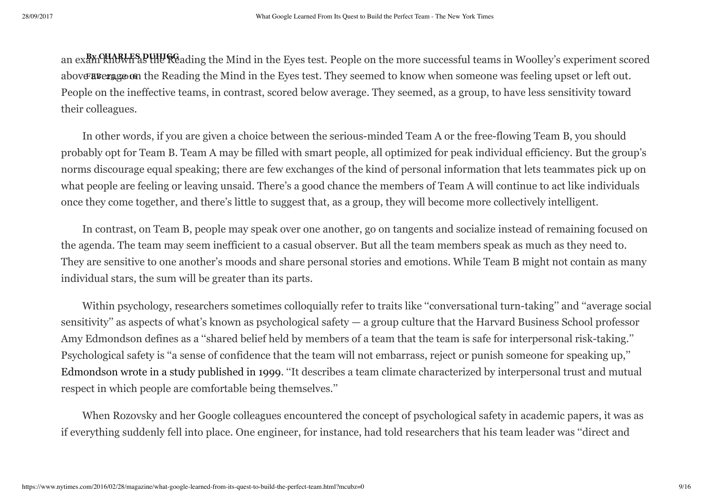an exam known as the Reading the Mind in the Eyes test. People on the more successful teams in Woolley's experiment scored **By [CHARLES](https://www.nytimes.com/by/charles-duhigg) DUHIGG** above average on the Reading the Mind in the Eyes test. They seemed to know when someone was feeling upset or left out. People on the ineffective teams, in contrast, scored below average. They seemed, as a group, to have less sensitivity toward their colleagues.

In other words, if you are given a choice between the serious-minded Team A or the free-flowing Team B, you should probably opt for Team B. Team A may be filled with smart people, all optimized for peak individual efficiency. But the group's norms discourage equal speaking; there are few exchanges of the kind of personal information that lets teammates pick up on what people are feeling or leaving unsaid. There's a good chance the members of Team A will continue to act like individuals once they come together, and there's little to suggest that, as a group, they will become more collectively intelligent.

In contrast, on Team B, people may speak over one another, go on tangents and socialize instead of remaining focused on the agenda. The team may seem inefficient to a casual observer. But all the team members speak as much as they need to. They are sensitive to one another's moods and share personal stories and emotions. While Team B might not contain as many individual stars, the sum will be greater than its parts.

Within psychology, researchers sometimes colloquially refer to traits like "conversational turn-taking" and "average social sensitivity'' as aspects of what's known as psychological safety — a group culture that the Harvard Business School professor Amy Edmondson defines as a ''shared belief held by members of a team that the team is safe for interpersonal risk-taking.'' Psychological safety is ''a sense of confidence that the team will not embarrass, reject or punish someone for speaking up,'' [Edmondson](http://web.b.ebscohost.com/ehost/detail/detail?sid=e55fd191-97da-4b52-a54d-d1ae6abb0a6e%40sessionmgr111&vid=1&hid=115&bdata=JnNpdGU9ZWhvc3QtbGl2ZQ%3d%3d#AN=2003235&db=bth) wrote in a study published in 1999. ''It describes a team climate characterized by interpersonal trust and mutual respect in which people are comfortable being themselves.''

When Rozovsky and her Google colleagues encountered the concept of psychological safety in academic papers, it was as if everything suddenly fell into place. One engineer, for instance, had told researchers that his team leader was ''direct and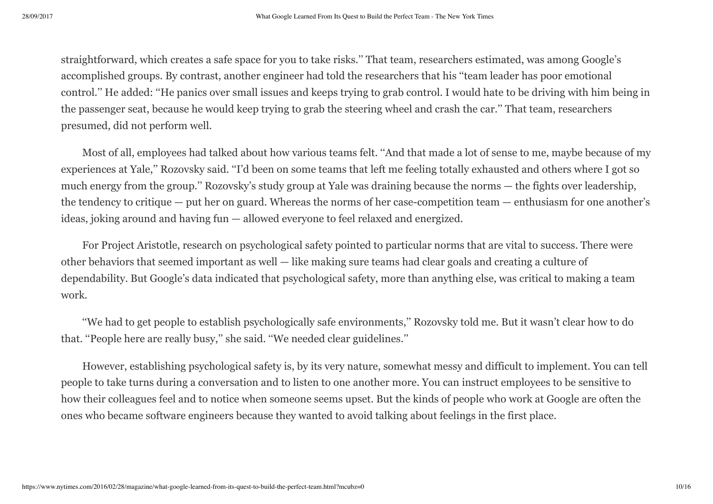straightforward, which creates a safe space for you to take risks.'' That team, researchers estimated, was among Google's accomplished groups. By contrast, another engineer had told the researchers that his ''team leader has poor emotional control.'' He added: ''He panics over small issues and keeps trying to grab control. I would hate to be driving with him being in the passenger seat, because he would keep trying to grab the steering wheel and crash the car.'' That team, researchers presumed, did not perform well.

Most of all, employees had talked about how various teams felt. ''And that made a lot of sense to me, maybe because of my experiences at Yale,'' Rozovsky said. ''I'd been on some teams that left me feeling totally exhausted and others where I got so much energy from the group.'' Rozovsky's study group at Yale was draining because the norms — the fights over leadership, the tendency to critique — put her on guard. Whereas the norms of her case-competition team — enthusiasm for one another's ideas, joking around and having fun — allowed everyone to feel relaxed and energized.

For Project Aristotle, research on psychological safety pointed to particular norms that are vital to success. There were other behaviors that seemed important as well — like making sure teams had clear goals and creating a culture of dependability. But Google's data indicated that psychological safety, more than anything else, was critical to making a team work.

''We had to get people to establish psychologically safe environments,'' Rozovsky told me. But it wasn't clear how to do that. ''People here are really busy,'' she said. ''We needed clear guidelines.''

However, establishing psychological safety is, by its very nature, somewhat messy and difficult to implement. You can tell people to take turns during a conversation and to listen to one another more. You can instruct employees to be sensitive to how their colleagues feel and to notice when someone seems upset. But the kinds of people who work at Google are often the ones who became software engineers because they wanted to avoid talking about feelings in the first place.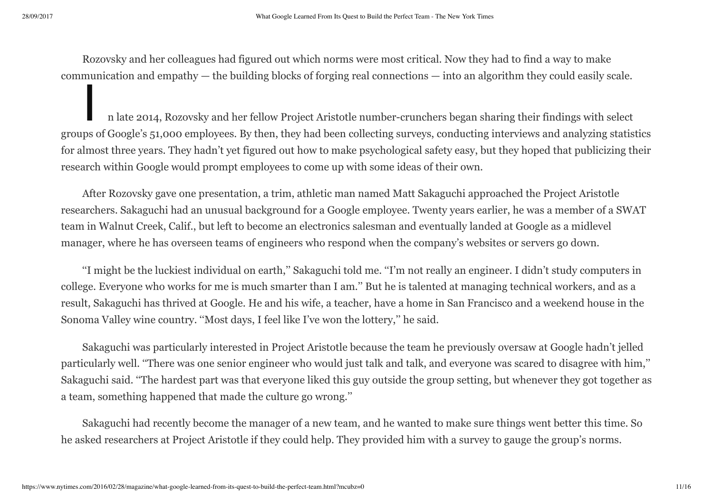Rozovsky and her colleagues had figured out which norms were most critical. Now they had to find a way to make communication and empathy — the building blocks of forging real connections — into an algorithm they could easily scale.

I <sup>n</sup> late 2014, Rozovsky and her fellow Project Aristotle number-crunchers began sharing their findings with select groups of Google's 51,000 employees. By then, they had been collecting surveys, conducting interviews and analyzing statistics for almost three years. They hadn't yet figured out how to make psychological safety easy, but they hoped that publicizing their research within Google would prompt employees to come up with some ideas of their own.

After Rozovsky gave one presentation, a trim, athletic man named Matt Sakaguchi approached the Project Aristotle researchers. Sakaguchi had an unusual background for a Google employee. Twenty years earlier, he was a member of a SWAT team in Walnut Creek, Calif., but left to become an electronics salesman and eventually landed at Google as a midlevel manager, where he has overseen teams of engineers who respond when the company's websites or servers go down.

''I might be the luckiest individual on earth,'' Sakaguchi told me. ''I'm not really an engineer. I didn't study computers in college. Everyone who works for me is much smarter than I am.'' But he is talented at managing technical workers, and as a result, Sakaguchi has thrived at Google. He and his wife, a teacher, have a home in San Francisco and a weekend house in the Sonoma Valley wine country. ''Most days, I feel like I've won the lottery,'' he said.

Sakaguchi was particularly interested in Project Aristotle because the team he previously oversaw at Google hadn't jelled particularly well. "There was one senior engineer who would just talk and talk, and everyone was scared to disagree with him," Sakaguchi said. ''The hardest part was that everyone liked this guy outside the group setting, but whenever they got together as a team, something happened that made the culture go wrong.''

Sakaguchi had recently become the manager of a new team, and he wanted to make sure things went better this time. So he asked researchers at Project Aristotle if they could help. They provided him with a survey to gauge the group's norms.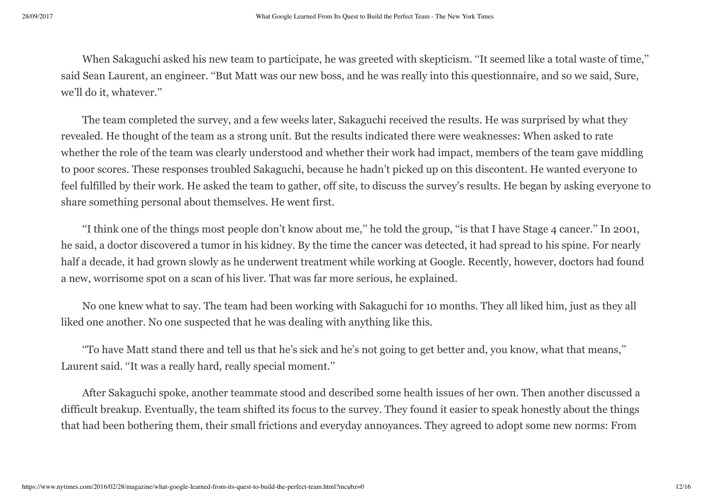When Sakaguchi asked his new team to participate, he was greeted with skepticism. ''It seemed like a total waste of time,'' said Sean Laurent, an engineer. ''But Matt was our new boss, and he was really into this questionnaire, and so we said, Sure, we'll do it, whatever.''

The team completed the survey, and a few weeks later, Sakaguchi received the results. He was surprised by what they revealed. He thought of the team as a strong unit. But the results indicated there were weaknesses: When asked to rate whether the role of the team was clearly understood and whether their work had impact, members of the team gave middling to poor scores. These responses troubled Sakaguchi, because he hadn't picked up on this discontent. He wanted everyone to feel fulfilled by their work. He asked the team to gather, off site, to discuss the survey's results. He began by asking everyone to share something personal about themselves. He went first.

''I think one of the things most people don't know about me,'' he told the group, ''is that I have Stage 4 cancer.'' In 2001, he said, a doctor discovered a tumor in his kidney. By the time the cancer was detected, it had spread to his spine. For nearly half a decade, it had grown slowly as he underwent treatment while working at Google. Recently, however, doctors had found a new, worrisome spot on a scan of his liver. That was far more serious, he explained.

No one knew what to say. The team had been working with Sakaguchi for 10 months. They all liked him, just as they all liked one another. No one suspected that he was dealing with anything like this.

''To have Matt stand there and tell us that he's sick and he's not going to get better and, you know, what that means,'' Laurent said. ''It was a really hard, really special moment.''

After Sakaguchi spoke, another teammate stood and described some health issues of her own. Then another discussed a difficult breakup. Eventually, the team shifted its focus to the survey. They found it easier to speak honestly about the things that had been bothering them, their small frictions and everyday annoyances. They agreed to adopt some new norms: From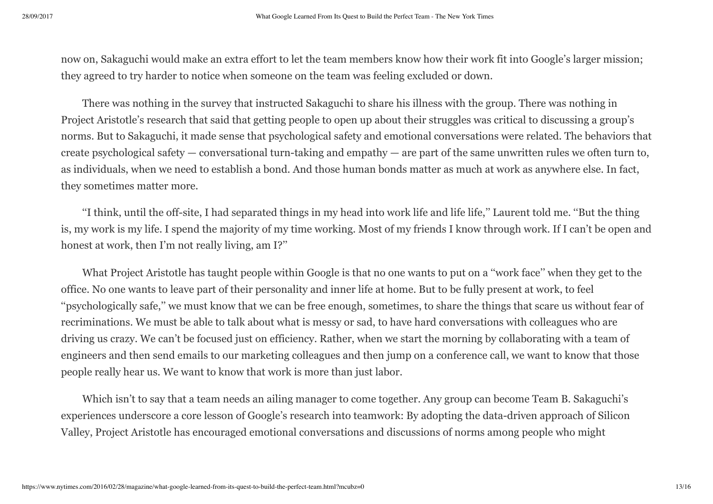now on, Sakaguchi would make an extra effort to let the team members know how their work fit into Google's larger mission; they agreed to try harder to notice when someone on the team was feeling excluded or down.

There was nothing in the survey that instructed Sakaguchi to share his illness with the group. There was nothing in Project Aristotle's research that said that getting people to open up about their struggles was critical to discussing a group's norms. But to Sakaguchi, it made sense that psychological safety and emotional conversations were related. The behaviors that create psychological safety — conversational turn-taking and empathy — are part of the same unwritten rules we often turn to, as individuals, when we need to establish a bond. And those human bonds matter as much at work as anywhere else. In fact, they sometimes matter more.

''I think, until the off-site, I had separated things in my head into work life and life life,'' Laurent told me. ''But the thing is, my work is my life. I spend the majority of my time working. Most of my friends I know through work. If I can't be open and honest at work, then I'm not really living, am I?''

What Project Aristotle has taught people within Google is that no one wants to put on a ''work face'' when they get to the office. No one wants to leave part of their personality and inner life at home. But to be fully present at work, to feel ''psychologically safe,'' we must know that we can be free enough, sometimes, to share the things that scare us without fear of recriminations. We must be able to talk about what is messy or sad, to have hard conversations with colleagues who are driving us crazy. We can't be focused just on efficiency. Rather, when we start the morning by collaborating with a team of engineers and then send emails to our marketing colleagues and then jump on a conference call, we want to know that those people really hear us. We want to know that work is more than just labor.

Which isn't to say that a team needs an ailing manager to come together. Any group can become Team B. Sakaguchi's experiences underscore a core lesson of Google's research into teamwork: By adopting the data-driven approach of Silicon Valley, Project Aristotle has encouraged emotional conversations and discussions of norms among people who might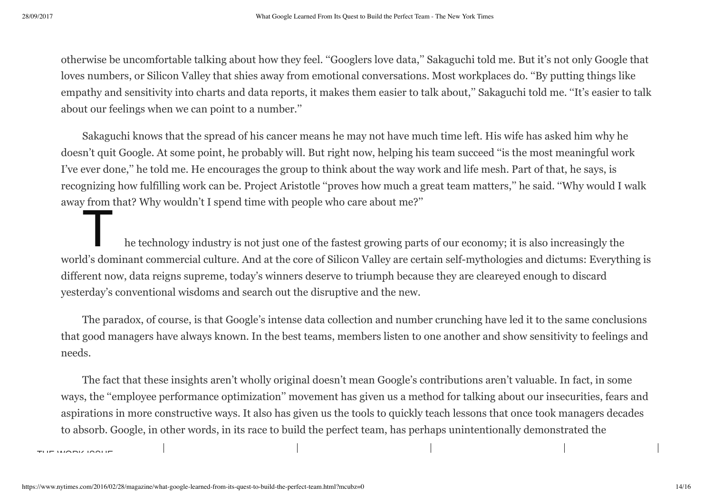otherwise be uncomfortable talking about how they feel. ''Googlers love data,'' Sakaguchi told me. But it's not only Google that loves numbers, or Silicon Valley that shies away from emotional conversations. Most workplaces do. ''By putting things like empathy and sensitivity into charts and data reports, it makes them easier to talk about,'' Sakaguchi told me. ''It's easier to talk about our feelings when we can point to a number.''

Sakaguchi knows that the spread of his cancer means he may not have much time left. His wife has asked him why he doesn't quit Google. At some point, he probably will. But right now, helping his team succeed ''is the most meaningful work I've ever done,'' he told me. He encourages the group to think about the way work and life mesh. Part of that, he says, is recognizing how fulfilling work can be. Project Aristotle ''proves how much a great team matters,'' he said. ''Why would I walk away from that? Why wouldn't I spend time with people who care about me?''

T he technology industry is not just one of the fastest growing parts of our economy; it is also increasingly the world's dominant commercial culture. And at the core of Silicon Valley are certain self-mythologies and dictums: Everything is different now, data reigns supreme, today's winners deserve to triumph because they are cleareyed enough to discard yesterday's conventional wisdoms and search out the disruptive and the new.

The paradox, of course, is that Google's intense data collection and number crunching have led it to the same conclusions that good managers have always known. In the best teams, members listen to one another and show sensitivity to feelings and needs.

The fact that these insights aren't wholly original doesn't mean Google's contributions aren't valuable. In fact, in some ways, the ''employee performance optimization'' movement has given us a method for talking about our insecurities, fears and aspirations in more constructive ways. It also has given us the tools to quickly teach lessons that once took managers decades to absorb. Google, in other words, in its race to build the perfect team, has perhaps unintentionally demonstrated the

 $T$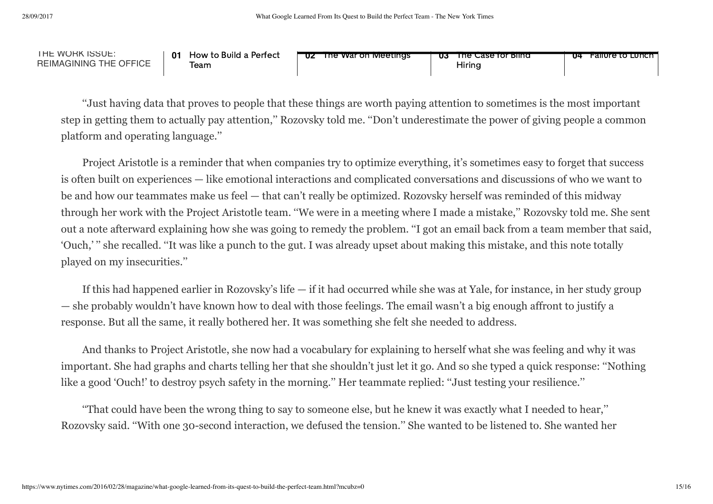| <b>THE WORK ISSUE:</b><br><b>REIMAGINING THE OFFICE</b> | How to Build a Perfect<br>01<br>leam | The war on Meetings<br>TUZ. | <del>The Case for Billio</del><br>้บร<br>Hiring | <u>tua trailure to Lunch i</u> |
|---------------------------------------------------------|--------------------------------------|-----------------------------|-------------------------------------------------|--------------------------------|
|                                                         |                                      |                             |                                                 |                                |

''Just having data that proves to people that these things are worth paying attention to sometimes is the most important step in getting them to actually pay attention,'' Rozovsky told me. ''Don't underestimate the power of giving people a common platform and operating language.''

Project Aristotle is a reminder that when companies try to optimize everything, it's sometimes easy to forget that success is often built on experiences — like emotional interactions and complicated conversations and discussions of who we want to be and how our teammates make us feel — that can't really be optimized. Rozovsky herself was reminded of this midway through her work with the Project Aristotle team. ''We were in a meeting where I made a mistake,'' Rozovsky told me. She sent out a note afterward explaining how she was going to remedy the problem. ''I got an email back from a team member that said, 'Ouch,' '' she recalled. ''It was like a punch to the gut. I was already upset about making this mistake, and this note totally played on my insecurities.''

If this had happened earlier in Rozovsky's life — if it had occurred while she was at Yale, for instance, in her study group — she probably wouldn't have known how to deal with those feelings. The email wasn't a big enough affront to justify a response. But all the same, it really bothered her. It was something she felt she needed to address.

And thanks to Project Aristotle, she now had a vocabulary for explaining to herself what she was feeling and why it was important. She had graphs and charts telling her that she shouldn't just let it go. And so she typed a quick response: ''Nothing like a good 'Ouch!' to destroy psych safety in the morning.'' Her teammate replied: ''Just testing your resilience.''

''That could have been the wrong thing to say to someone else, but he knew it was exactly what I needed to hear,'' Rozovsky said. ''With one 30-second interaction, we defused the tension.'' She wanted to be listened to. She wanted her